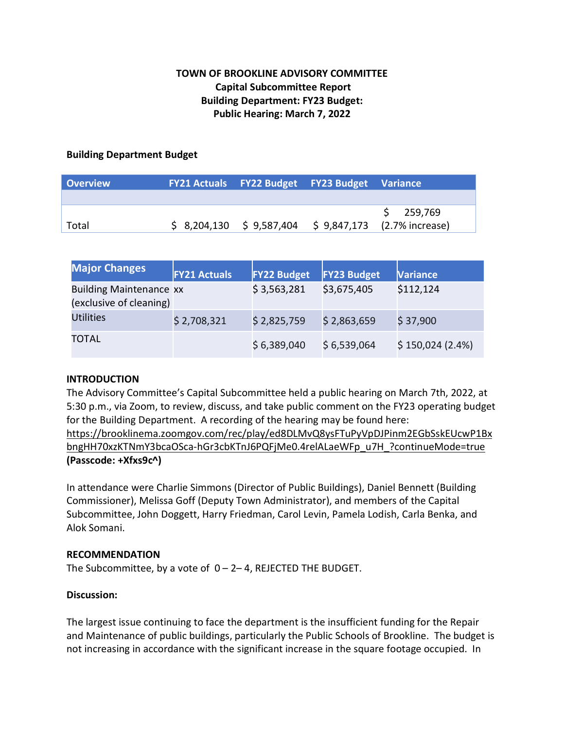# **TOWN OF BROOKLINE ADVISORY COMMITTEE Capital Subcommittee Report Building Department: FY23 Budget: Public Hearing: March 7, 2022**

### **Building Department Budget**

| <b>Overview</b> |  | FY21 Actuals FY22 Budget FY23 Budget Variance |                                                        |
|-----------------|--|-----------------------------------------------|--------------------------------------------------------|
|                 |  |                                               |                                                        |
|                 |  |                                               | \$259,769                                              |
| Total           |  |                                               | $$8,204,130 \$9,587,404 \$9,847,173 \$2.7\%$ increase) |

| <b>Major Changes</b>                                      | <b>FY21 Actuals</b> | <b>FY22 Budget</b> | <b>FY23 Budget</b> | <b>Variance</b> |
|-----------------------------------------------------------|---------------------|--------------------|--------------------|-----------------|
| <b>Building Maintenance xx</b><br>(exclusive of cleaning) |                     | \$3,563,281        | \$3,675,405        | \$112,124       |
| <b>Utilities</b>                                          | \$2,708,321         | \$2,825,759        | \$2,863,659        | \$37,900        |
| TOTAL                                                     |                     | \$6,389,040        | \$6,539,064        | \$150,024(2.4%) |

# **INTRODUCTION**

The Advisory Committee's Capital Subcommittee held a public hearing on March 7th, 2022, at 5:30 p.m., via Zoom, to review, discuss, and take public comment on the FY23 operating budget for the Building Department. A recording of the hearing may be found here:

https://brooklinema.zoomgov.com/rec/play/ed8DLMvQ8ysFTuPyVpDJPinm2EGbSskEUcwP1Bx bngHH70xzKTNmY3bcaOSca-hGr3cbKTnJ6PQFjMe0.4relALaeWFp\_u7H\_?continueMode=true **(Passcode: +Xfxs9c^)**

In attendance were Charlie Simmons (Director of Public Buildings), Daniel Bennett (Building Commissioner), Melissa Goff (Deputy Town Administrator), and members of the Capital Subcommittee, John Doggett, Harry Friedman, Carol Levin, Pamela Lodish, Carla Benka, and Alok Somani.

### **RECOMMENDATION**

The Subcommittee, by a vote of  $0 - 2 - 4$ , REJECTED THE BUDGET.

# **Discussion:**

The largest issue continuing to face the department is the insufficient funding for the Repair and Maintenance of public buildings, particularly the Public Schools of Brookline. The budget is not increasing in accordance with the significant increase in the square footage occupied. In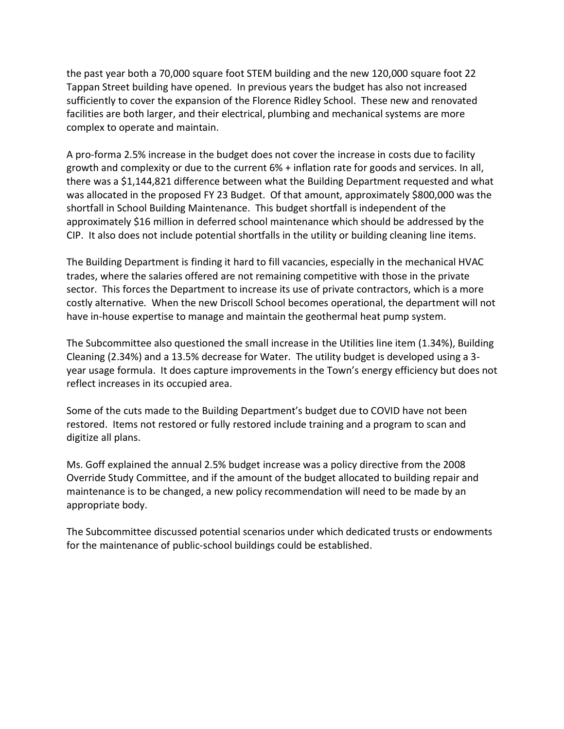the past year both a 70,000 square foot STEM building and the new 120,000 square foot 22 Tappan Street building have opened. In previous years the budget has also not increased sufficiently to cover the expansion of the Florence Ridley School. These new and renovated facilities are both larger, and their electrical, plumbing and mechanical systems are more complex to operate and maintain.

A pro-forma 2.5% increase in the budget does not cover the increase in costs due to facility growth and complexity or due to the current 6% + inflation rate for goods and services. In all, there was a \$1,144,821 difference between what the Building Department requested and what was allocated in the proposed FY 23 Budget. Of that amount, approximately \$800,000 was the shortfall in School Building Maintenance. This budget shortfall is independent of the approximately \$16 million in deferred school maintenance which should be addressed by the CIP. It also does not include potential shortfalls in the utility or building cleaning line items.

The Building Department is finding it hard to fill vacancies, especially in the mechanical HVAC trades, where the salaries offered are not remaining competitive with those in the private sector. This forces the Department to increase its use of private contractors, which is a more costly alternative. When the new Driscoll School becomes operational, the department will not have in-house expertise to manage and maintain the geothermal heat pump system.

The Subcommittee also questioned the small increase in the Utilities line item (1.34%), Building Cleaning (2.34%) and a 13.5% decrease for Water. The utility budget is developed using a 3 year usage formula. It does capture improvements in the Town's energy efficiency but does not reflect increases in its occupied area.

Some of the cuts made to the Building Department's budget due to COVID have not been restored. Items not restored or fully restored include training and a program to scan and digitize all plans.

Ms. Goff explained the annual 2.5% budget increase was a policy directive from the 2008 Override Study Committee, and if the amount of the budget allocated to building repair and maintenance is to be changed, a new policy recommendation will need to be made by an appropriate body.

The Subcommittee discussed potential scenarios under which dedicated trusts or endowments for the maintenance of public-school buildings could be established.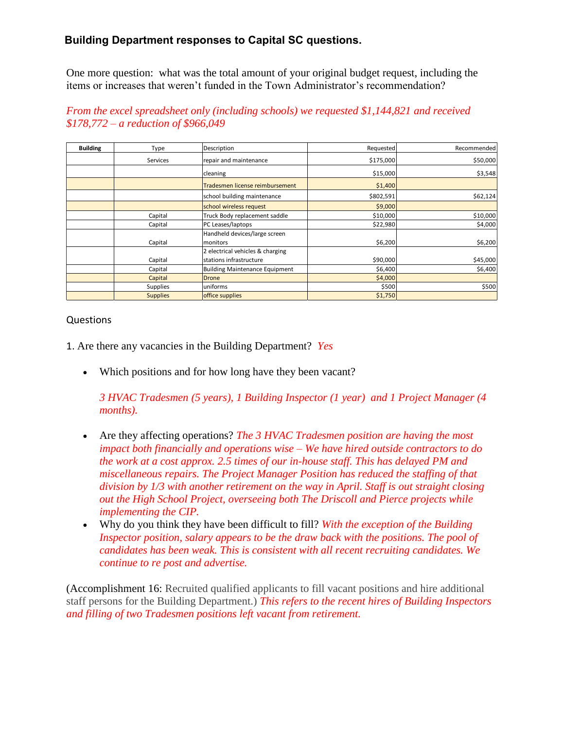# **Building Department responses to Capital SC questions.**

One more question: what was the total amount of your original budget request, including the items or increases that weren't funded in the Town Administrator's recommendation?

#### **Building** | Type | Description | Requested Requested Recommended Recommended Services repair and maintenance the state of the state of the state of the state of the state of the state of the state of the state of the state of the state of the state of the state of the state of the state of the stat cleaning \$15,000 \$3,548 Tradesmen license reimbursement | **1988** S1,400  $\mathsf{F}$ school building maintenance  $\mathsf{F}$   $\mathsf{F}$   $\mathsf{S}$   $\mathsf{S}$   $\mathsf{S}$   $\mathsf{S}$   $\mathsf{S}$   $\mathsf{S}$   $\mathsf{S}$   $\mathsf{S}$   $\mathsf{S}$   $\mathsf{S}$   $\mathsf{S}$   $\mathsf{S}$   $\mathsf{S}$   $\mathsf{S}$   $\mathsf{S}$   $\mathsf{S}$   $\mathsf{S}$   $\mathsf{S}$   $\mathsf{$ school wireless request **\$9,000** and the state of the state of the state  $\frac{1}{2}$ \$9,000 Capital Truck Body replacement saddle  $\vert$  \$10,000 \$10,000 \$10,000 \$10,000 Capital PC Leases/laptops | \$22,980 \$4,000 \$4,000 Capital Handheld devices/large screen monitors \$6,200 \$6,200 Capital 2 electrical vehicles & charging stations infrastructure **\$90,000** \$45,000 \$45,000 Capital Building Maintenance Equipment | \$6,400 \$6,400 \$6,400 \$6,400 \$6,400 Capital Drone \$4,000 Supplies uniforms \$500 \$500 Supplies **Supplies office supplies b**  $\sqrt{51,750}$

### *From the excel spreadsheet only (including schools) we requested \$1,144,821 and received \$178,772 – a reduction of \$966,049*

### Questions

- 1. Are there any vacancies in the Building Department? *Yes*
	- Which positions and for how long have they been vacant?

*3 HVAC Tradesmen (5 years), 1 Building Inspector (1 year) and 1 Project Manager (4 months).*

- Are they affecting operations? *The 3 HVAC Tradesmen position are having the most impact both financially and operations wise – We have hired outside contractors to do the work at a cost approx. 2.5 times of our in-house staff. This has delayed PM and miscellaneous repairs. The Project Manager Position has reduced the staffing of that division by 1/3 with another retirement on the way in April. Staff is out straight closing out the High School Project, overseeing both The Driscoll and Pierce projects while implementing the CIP.*
- Why do you think they have been difficult to fill? *With the exception of the Building Inspector position, salary appears to be the draw back with the positions. The pool of candidates has been weak. This is consistent with all recent recruiting candidates. We continue to re post and advertise.*

(Accomplishment 16: Recruited qualified applicants to fill vacant positions and hire additional staff persons for the Building Department.) *This refers to the recent hires of Building Inspectors and filling of two Tradesmen positions left vacant from retirement.*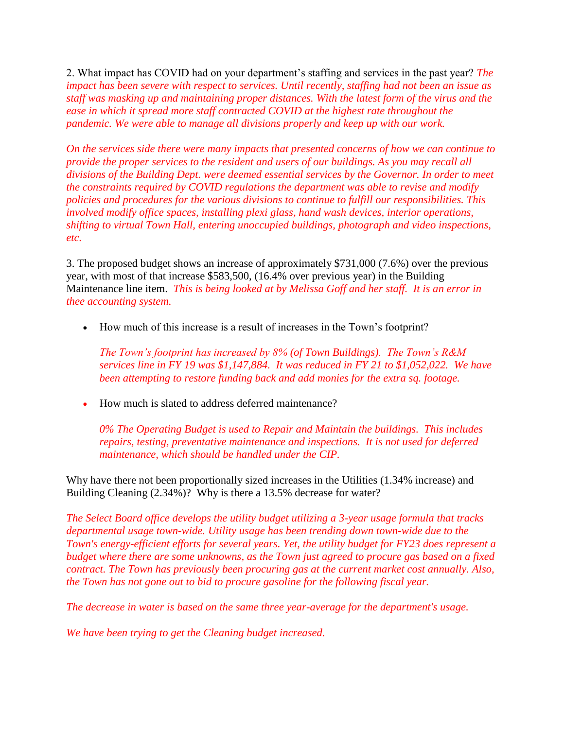2. What impact has COVID had on your department's staffing and services in the past year? *The impact has been severe with respect to services. Until recently, staffing had not been an issue as staff was masking up and maintaining proper distances. With the latest form of the virus and the ease in which it spread more staff contracted COVID at the highest rate throughout the pandemic. We were able to manage all divisions properly and keep up with our work.*

*On the services side there were many impacts that presented concerns of how we can continue to provide the proper services to the resident and users of our buildings. As you may recall all divisions of the Building Dept. were deemed essential services by the Governor. In order to meet the constraints required by COVID regulations the department was able to revise and modify policies and procedures for the various divisions to continue to fulfill our responsibilities. This involved modify office spaces, installing plexi glass, hand wash devices, interior operations, shifting to virtual Town Hall, entering unoccupied buildings, photograph and video inspections, etc.* 

3. The proposed budget shows an increase of approximately \$731,000 (7.6%) over the previous year, with most of that increase \$583,500, (16.4% over previous year) in the Building Maintenance line item. *This is being looked at by Melissa Goff and her staff. It is an error in thee accounting system.*

How much of this increase is a result of increases in the Town's footprint?

*The Town's footprint has increased by 8% (of Town Buildings). The Town's R&M services line in FY 19 was \$1,147,884. It was reduced in FY 21 to \$1,052,022. We have been attempting to restore funding back and add monies for the extra sq. footage.*

How much is slated to address deferred maintenance?

*0% The Operating Budget is used to Repair and Maintain the buildings. This includes repairs, testing, preventative maintenance and inspections. It is not used for deferred maintenance, which should be handled under the CIP.*

Why have there not been proportionally sized increases in the Utilities (1.34% increase) and Building Cleaning (2.34%)? Why is there a 13.5% decrease for water?

*The Select Board office develops the utility budget utilizing a 3-year usage formula that tracks departmental usage town-wide. Utility usage has been trending down town-wide due to the Town's energy-efficient efforts for several years. Yet, the utility budget for FY23 does represent a budget where there are some unknowns, as the Town just agreed to procure gas based on a fixed contract. The Town has previously been procuring gas at the current market cost annually. Also, the Town has not gone out to bid to procure gasoline for the following fiscal year.* 

*The decrease in water is based on the same three year-average for the department's usage.* 

*We have been trying to get the Cleaning budget increased.*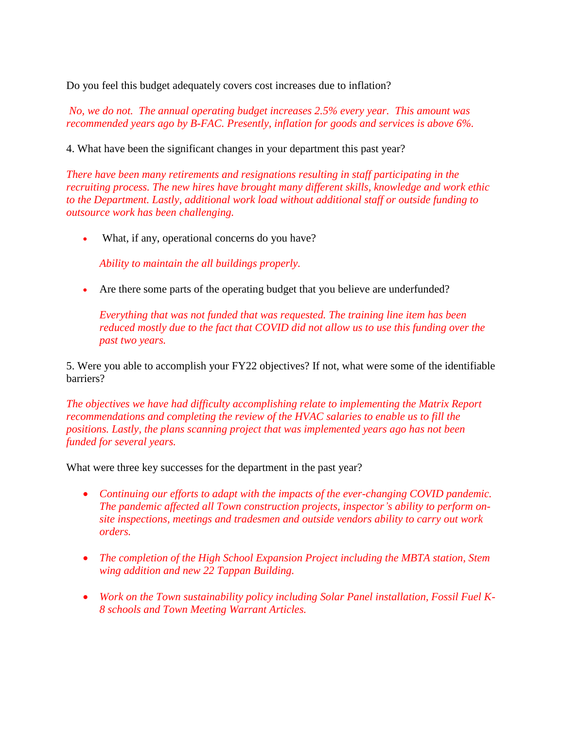Do you feel this budget adequately covers cost increases due to inflation?

*No, we do not. The annual operating budget increases 2.5% every year. This amount was recommended years ago by B-FAC. Presently, inflation for goods and services is above 6%.*

4. What have been the significant changes in your department this past year?

*There have been many retirements and resignations resulting in staff participating in the recruiting process. The new hires have brought many different skills, knowledge and work ethic to the Department. Lastly, additional work load without additional staff or outside funding to outsource work has been challenging.*

What, if any, operational concerns do you have?

*Ability to maintain the all buildings properly.*

Are there some parts of the operating budget that you believe are underfunded?

*Everything that was not funded that was requested. The training line item has been reduced mostly due to the fact that COVID did not allow us to use this funding over the past two years.*

5. Were you able to accomplish your FY22 objectives? If not, what were some of the identifiable barriers?

*The objectives we have had difficulty accomplishing relate to implementing the Matrix Report recommendations and completing the review of the HVAC salaries to enable us to fill the positions. Lastly, the plans scanning project that was implemented years ago has not been funded for several years.*

What were three key successes for the department in the past year?

- *Continuing our efforts to adapt with the impacts of the ever-changing COVID pandemic. The pandemic affected all Town construction projects, inspector's ability to perform onsite inspections, meetings and tradesmen and outside vendors ability to carry out work orders.*
- The completion of the High School Expansion Project including the MBTA station, Stem *wing addition and new 22 Tappan Building.*
- *Work on the Town sustainability policy including Solar Panel installation, Fossil Fuel K-8 schools and Town Meeting Warrant Articles.*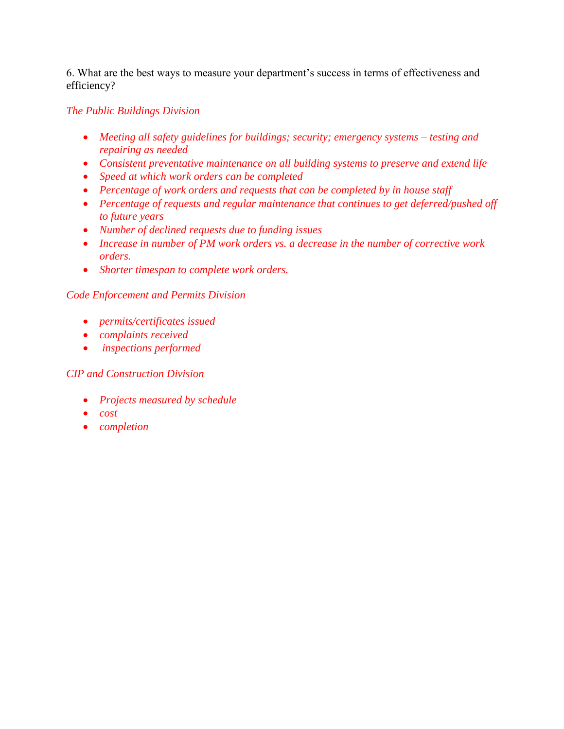6. What are the best ways to measure your department's success in terms of effectiveness and efficiency?

# *The Public Buildings Division*

- *Meeting all safety guidelines for buildings; security; emergency systems – testing and repairing as needed*
- *Consistent preventative maintenance on all building systems to preserve and extend life*
- *Speed at which work orders can be completed*
- *Percentage of work orders and requests that can be completed by in house staff*
- *Percentage of requests and regular maintenance that continues to get deferred/pushed off to future years*
- *Number of declined requests due to funding issues*
- *Increase in number of PM work orders vs. a decrease in the number of corrective work orders.*
- *Shorter timespan to complete work orders.*

### *Code Enforcement and Permits Division*

- *permits/certificates issued*
- *complaints received*
- *inspections performed*

# *CIP and Construction Division*

- *Projects measured by schedule*
- *cost*
- *completion*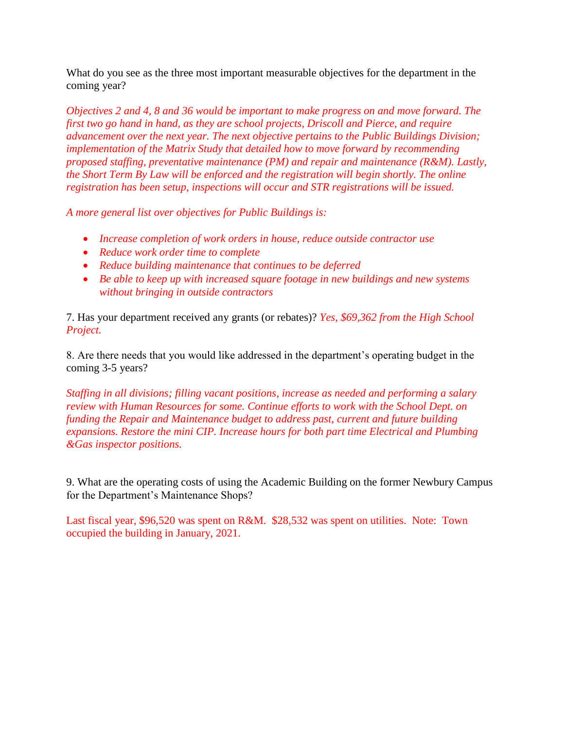What do you see as the three most important measurable objectives for the department in the coming year?

*Objectives 2 and 4, 8 and 36 would be important to make progress on and move forward. The first two go hand in hand, as they are school projects, Driscoll and Pierce, and require advancement over the next year. The next objective pertains to the Public Buildings Division; implementation of the Matrix Study that detailed how to move forward by recommending proposed staffing, preventative maintenance (PM) and repair and maintenance (R&M). Lastly, the Short Term By Law will be enforced and the registration will begin shortly. The online registration has been setup, inspections will occur and STR registrations will be issued.*

*A more general list over objectives for Public Buildings is:*

- *Increase completion of work orders in house, reduce outside contractor use*
- *Reduce work order time to complete*
- *Reduce building maintenance that continues to be deferred*
- *Be able to keep up with increased square footage in new buildings and new systems without bringing in outside contractors*

7. Has your department received any grants (or rebates)? *Yes, \$69,362 from the High School Project.*

8. Are there needs that you would like addressed in the department's operating budget in the coming 3-5 years?

*Staffing in all divisions; filling vacant positions, increase as needed and performing a salary review with Human Resources for some. Continue efforts to work with the School Dept. on funding the Repair and Maintenance budget to address past, current and future building expansions. Restore the mini CIP. Increase hours for both part time Electrical and Plumbing &Gas inspector positions.*

9. What are the operating costs of using the Academic Building on the former Newbury Campus for the Department's Maintenance Shops?

Last fiscal year, \$96,520 was spent on R&M. \$28,532 was spent on utilities. Note: Town occupied the building in January, 2021.